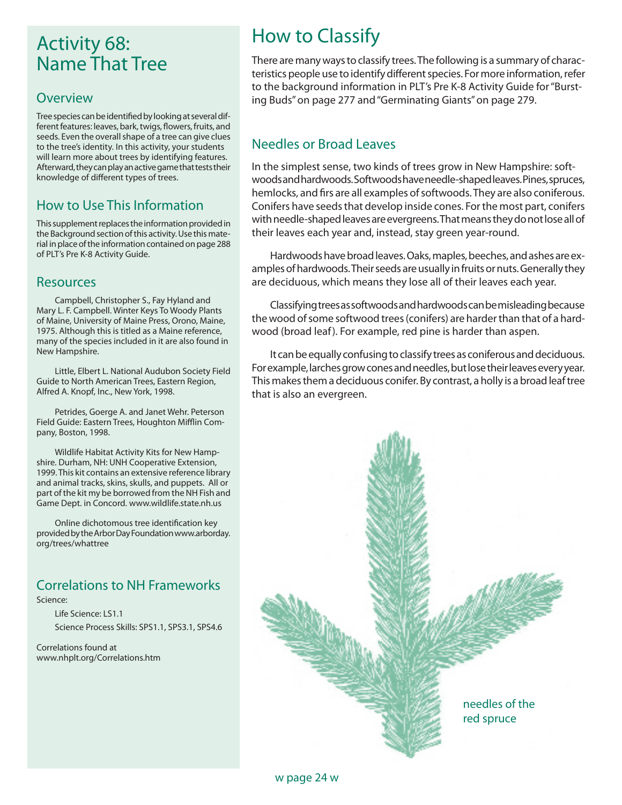## Activity 68: Name That Tree

#### **Overview**

Tree species can be identified by looking at several different features: leaves, bark, twigs, flowers, fruits, and seeds. Even the overall shape of a tree can give clues to the tree's identity. In this activity, your students will learn more about trees by identifying features. Afterward, they can play an active game that tests their knowledge of different types of trees.

#### How to Use This Information

This supplement replaces the information provided in the Background section of this activity. Use this material in place of the information contained on page 288 of PLT's Pre K-8 Activity Guide.

#### Resources

Campbell, Christopher S., Fay Hyland and Mary L. F. Campbell. Winter Keys To Woody Plants of Maine, University of Maine Press, Orono, Maine, 1975. Although this is titled as a Maine reference, many of the species included in it are also found in New Hampshire.

Little, Elbert L. National Audubon Society Field Guide to North American Trees, Eastern Region, Alfred A. Knopf, Inc., New York, 1998.

Petrides, Goerge A. and Janet Wehr. Peterson Field Guide: Eastern Trees, Houghton Mifflin Company, Boston, 1998.

Wildlife Habitat Activity Kits for New Hampshire. Durham, NH: UNH Cooperative Extension, 1999. This kit contains an extensive reference library and animal tracks, skins, skulls, and puppets. All or part of the kit my be borrowed from the NH Fish and Game Dept. in Concord. www.wildlife.state.nh.us

Online dichotomous tree identification key provided by the Arbor Day Foundation www.arborday. org/trees/whattree

#### Correlations to NH Frameworks

Science:

 Life Science: LS1.1 Science Process Skills: SPS1.1, SPS3.1, SPS4.6

Correlations found at www.nhplt.org/Correlations.htm

# How to Classify

There are many ways to classify trees. The following is a summary of characteristics people use to identify different species. For more information, refer to the background information in PLT's Pre K-8 Activity Guide for "Bursting Buds" on page 277 and "Germinating Giants" on page 279.

#### Needles or Broad Leaves

In the simplest sense, two kinds of trees grow in New Hampshire: softwoods and hardwoods. Softwoods have needle-shaped leaves. Pines, spruces, hemlocks, and firs are all examples of softwoods. They are also coniferous. Conifers have seeds that develop inside cones. For the most part, conifers with needle-shaped leaves are evergreens. That means they do not lose all of their leaves each year and, instead, stay green year-round.

Hardwoods have broad leaves. Oaks, maples, beeches, and ashes are examples of hardwoods. Their seeds are usually in fruits or nuts. Generally they are deciduous, which means they lose all of their leaves each year.

Classifying trees as softwoods and hardwoods can be misleading because the wood of some softwood trees (conifers) are harder than that of a hardwood (broad leaf). For example, red pine is harder than aspen.

It can be equally confusing to classify trees as coniferous and deciduous. For example, larches grow cones and needles, but lose their leaves every year. This makes them a deciduous conifer. By contrast, a holly is a broad leaf tree that is also an evergreen.

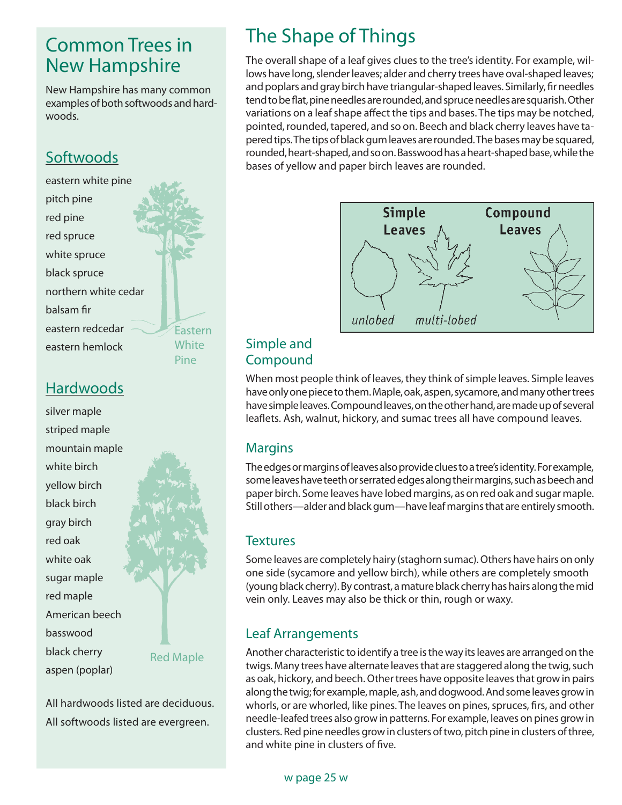## Common Trees in New Hampshire

New Hampshire has many common examples of both softwoods and hardwoods.

### **Softwoods**

eastern white pine pitch pine red pine red spruce white spruce black spruce northern white cedar balsam fir eastern redcedar eastern hemlock

Eastern **White** Pine

### **Hardwoods**

silver maple striped maple mountain maple white birch yellow birch black birch gray birch red oak white oak sugar maple red maple American beech basswood black cherry aspen (poplar)

Red Maple

All hardwoods listed are deciduous. All softwoods listed are evergreen.

# The Shape of Things

The overall shape of a leaf gives clues to the tree's identity. For example, willows have long, slender leaves; alder and cherry trees have oval-shaped leaves; and poplars and gray birch have triangular-shaped leaves. Similarly, fir needles tend to be flat, pine needles are rounded, and spruce needles are squarish. Other variations on a leaf shape affect the tips and bases. The tips may be notched, pointed, rounded, tapered, and so on. Beech and black cherry leaves have tapered tips. The tips of black gum leaves are rounded. The bases may be squared, rounded, heart-shaped, and so on. Basswood has a heart-shaped base, while the bases of yellow and paper birch leaves are rounded.



#### Simple and Compound

When most people think of leaves, they think of simple leaves. Simple leaves have only one piece to them. Maple, oak, aspen, sycamore, and many other trees have simple leaves. Compound leaves, on the other hand, are made up of several leaflets. Ash, walnut, hickory, and sumac trees all have compound leaves.

#### Margins

The edges or margins of leaves also provide clues to a tree's identity. For example, some leaves have teeth or serrated edges along their margins, such as beech and paper birch. Some leaves have lobed margins, as on red oak and sugar maple. Still others—alder and black gum—have leaf margins that are entirely smooth.

#### **Textures**

Some leaves are completely hairy (staghorn sumac). Others have hairs on only one side (sycamore and yellow birch), while others are completely smooth (young black cherry). By contrast, a mature black cherry has hairs along the mid vein only. Leaves may also be thick or thin, rough or waxy.

#### Leaf Arrangements

Another characteristic to identify a tree is the way its leaves are arranged on the twigs. Many trees have alternate leaves that are staggered along the twig, such as oak, hickory, and beech. Other trees have opposite leaves that grow in pairs along the twig; for example, maple, ash, and dogwood. And some leaves grow in whorls, or are whorled, like pines. The leaves on pines, spruces, firs, and other needle-leafed trees also grow in patterns. For example, leaves on pines grow in clusters. Red pine needles grow in clusters of two, pitch pine in clusters of three, and white pine in clusters of five.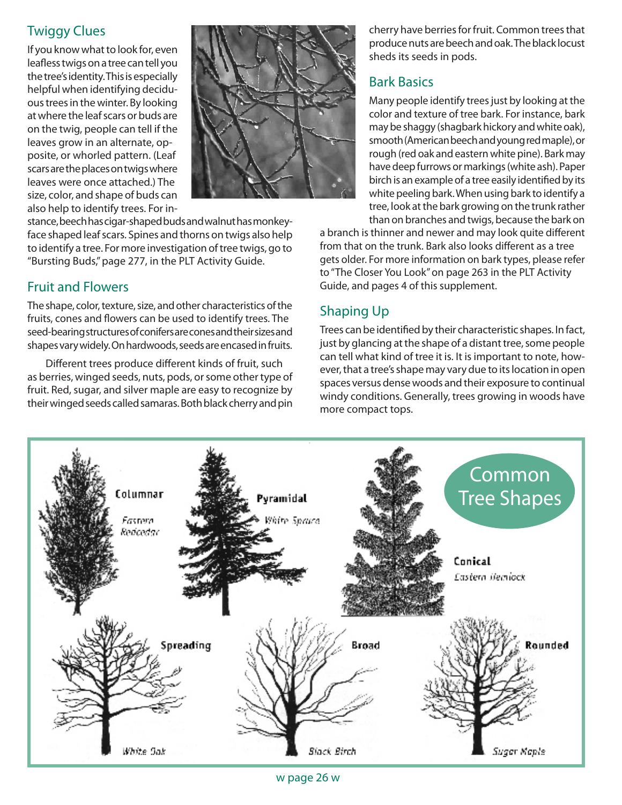### Twiggy Clues

If you know what to look for, even leafless twigs on a tree can tell you the tree's identity. This is especially helpful when identifying deciduous trees in the winter. By looking at where the leaf scars or buds are on the twig, people can tell if the leaves grow in an alternate, opposite, or whorled pattern. (Leaf scars are the places on twigs where leaves were once attached.) The size, color, and shape of buds can also help to identify trees. For in-



stance, beech has cigar-shaped buds and walnut has monkeyface shaped leaf scars. Spines and thorns on twigs also help to identify a tree. For more investigation of tree twigs, go to "Bursting Buds," page 277, in the PLT Activity Guide.

#### Fruit and Flowers

The shape, color, texture, size, and other characteristics of the fruits, cones and flowers can be used to identify trees. The seed-bearing structures of conifers are cones and their sizes and shapes vary widely. On hardwoods, seeds are encased in fruits.

Different trees produce different kinds of fruit, such as berries, winged seeds, nuts, pods, or some other type of fruit. Red, sugar, and silver maple are easy to recognize by their winged seeds called samaras. Both black cherry and pin

cherry have berries for fruit. Common trees that produce nuts are beech and oak. The black locust sheds its seeds in pods.

#### Bark Basics

Many people identify trees just by looking at the color and texture of tree bark. For instance, bark may be shaggy (shagbark hickory and white oak), smooth (American beech and young red maple), or rough (red oak and eastern white pine). Bark may have deep furrows or markings (white ash). Paper birch is an example of a tree easily identified by its white peeling bark. When using bark to identify a tree, look at the bark growing on the trunk rather than on branches and twigs, because the bark on

a branch is thinner and newer and may look quite different from that on the trunk. Bark also looks different as a tree gets older. For more information on bark types, please refer to "The Closer You Look" on page 263 in the PLT Activity Guide, and pages 4 of this supplement.

### Shaping Up

Trees can be identified by their characteristic shapes. In fact, just by glancing at the shape of a distant tree, some people can tell what kind of tree it is. It is important to note, however, that a tree's shape may vary due to its location in open spaces versus dense woods and their exposure to continual windy conditions. Generally, trees growing in woods have more compact tops.



w page 26 w